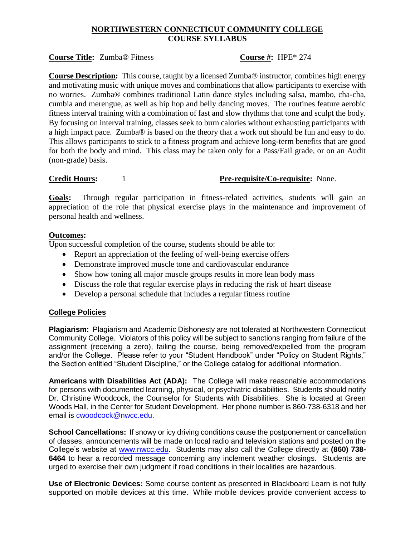# **NORTHWESTERN CONNECTICUT COMMUNITY COLLEGE COURSE SYLLABUS**

### **Course Title:** Zumba® Fitness **Course #:** HPE\* 274

**Course Description:** This course, taught by a licensed Zumba® instructor, combines high energy and motivating music with unique moves and combinations that allow participants to exercise with no worries. Zumba® combines traditional Latin dance styles including salsa, mambo, cha-cha, cumbia and merengue, as well as hip hop and belly dancing moves. The routines feature aerobic fitness interval training with a combination of fast and slow rhythms that tone and sculpt the body. By focusing on interval training, classes seek to burn calories without exhausting participants with a high impact pace. Zumba® is based on the theory that a work out should be fun and easy to do. This allows participants to stick to a fitness program and achieve long-term benefits that are good for both the body and mind. This class may be taken only for a Pass/Fail grade, or on an Audit (non-grade) basis.

## **Credit Hours:** 1 **Pre-requisite/Co-requisite:** None.

**Goals:** Through regular participation in fitness-related activities, students will gain an appreciation of the role that physical exercise plays in the maintenance and improvement of personal health and wellness.

### **Outcomes:**

Upon successful completion of the course, students should be able to:

- Report an appreciation of the feeling of well-being exercise offers
- Demonstrate improved muscle tone and cardiovascular endurance
- Show how toning all major muscle groups results in more lean body mass
- Discuss the role that regular exercise plays in reducing the risk of heart disease
- Develop a personal schedule that includes a regular fitness routine

# **College Policies**

**Plagiarism:** Plagiarism and Academic Dishonesty are not tolerated at Northwestern Connecticut Community College. Violators of this policy will be subject to sanctions ranging from failure of the assignment (receiving a zero), failing the course, being removed/expelled from the program and/or the College. Please refer to your "Student Handbook" under "Policy on Student Rights," the Section entitled "Student Discipline," or the College catalog for additional information.

**Americans with Disabilities Act (ADA):** The College will make reasonable accommodations for persons with documented learning, physical, or psychiatric disabilities. Students should notify Dr. Christine Woodcock, the Counselor for Students with Disabilities. She is located at Green Woods Hall, in the Center for Student Development. Her phone number is 860-738-6318 and her email is [cwoodcock@nwcc.edu.](mailto:cwoodcock@nwcc.edu)

**School Cancellations:** If snowy or icy driving conditions cause the postponement or cancellation of classes, announcements will be made on local radio and television stations and posted on the College's website at [www.nwcc.edu.](http://www.nwcc.edu/) Students may also call the College directly at **(860) 738- 6464** to hear a recorded message concerning any inclement weather closings. Students are urged to exercise their own judgment if road conditions in their localities are hazardous.

**Use of Electronic Devices:** Some course content as presented in Blackboard Learn is not fully supported on mobile devices at this time. While mobile devices provide convenient access to